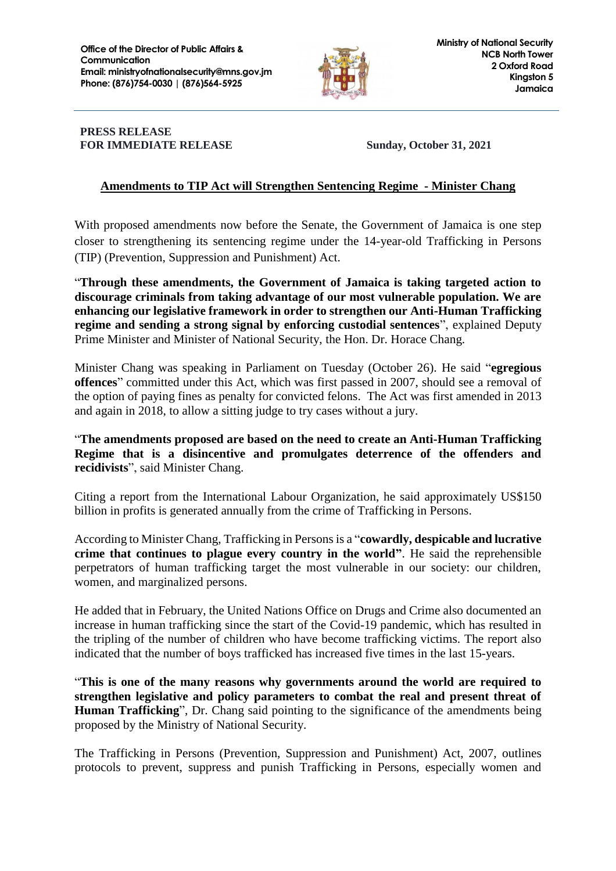

## **PRESS RELEASE FOR IMMEDIATE RELEASE Sunday, October 31, 2021**

## **Amendments to TIP Act will Strengthen Sentencing Regime - Minister Chang**

With proposed amendments now before the Senate, the Government of Jamaica is one step closer to strengthening its sentencing regime under the 14-year-old Trafficking in Persons (TIP) (Prevention, Suppression and Punishment) Act.

"**Through these amendments, the Government of Jamaica is taking targeted action to discourage criminals from taking advantage of our most vulnerable population. We are enhancing our legislative framework in order to strengthen our Anti-Human Trafficking regime and sending a strong signal by enforcing custodial sentences**", explained Deputy Prime Minister and Minister of National Security, the Hon. Dr. Horace Chang.

Minister Chang was speaking in Parliament on Tuesday (October 26). He said "**egregious offences**" committed under this Act, which was first passed in 2007, should see a removal of the option of paying fines as penalty for convicted felons. The Act was first amended in 2013 and again in 2018, to allow a sitting judge to try cases without a jury.

"**The amendments proposed are based on the need to create an Anti-Human Trafficking Regime that is a disincentive and promulgates deterrence of the offenders and recidivists**", said Minister Chang.

Citing a report from the International Labour Organization, he said approximately US\$150 billion in profits is generated annually from the crime of Trafficking in Persons.

According to Minister Chang, Trafficking in Persons is a "**cowardly, despicable and lucrative crime that continues to plague every country in the world"**. He said the reprehensible perpetrators of human trafficking target the most vulnerable in our society: our children, women, and marginalized persons.

He added that in February, the United Nations Office on Drugs and Crime also documented an increase in human trafficking since the start of the Covid-19 pandemic, which has resulted in the tripling of the number of children who have become trafficking victims. The report also indicated that the number of boys trafficked has increased five times in the last 15-years.

"**This is one of the many reasons why governments around the world are required to strengthen legislative and policy parameters to combat the real and present threat of Human Trafficking**", Dr. Chang said pointing to the significance of the amendments being proposed by the Ministry of National Security.

The Trafficking in Persons (Prevention, Suppression and Punishment) Act, 2007, outlines protocols to prevent, suppress and punish Trafficking in Persons, especially women and